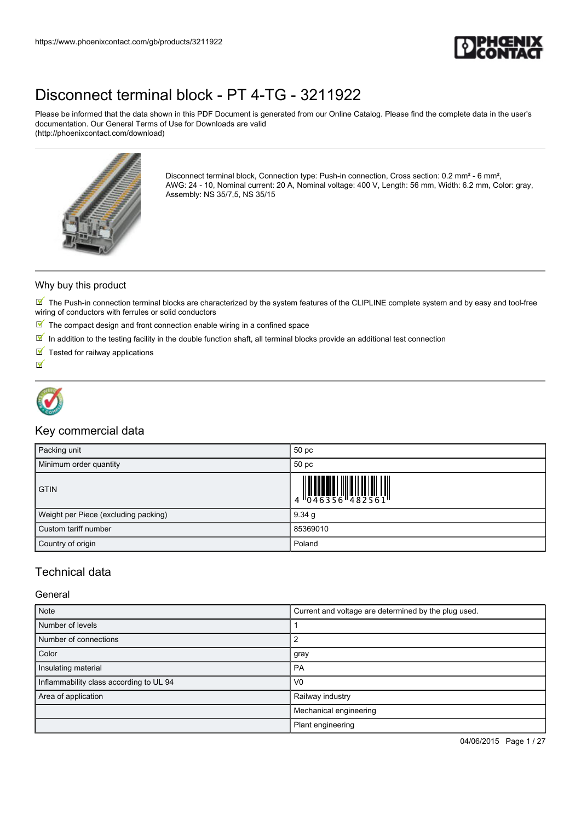

Please be informed that the data shown in this PDF Document is generated from our Online Catalog. Please find the complete data in the user's documentation. Our General Terms of Use for Downloads are valid (http://phoenixcontact.com/download)



Disconnect terminal block, Connection type: Push-in connection, Cross section: 0.2 mm<sup>2</sup> - 6 mm<sup>2</sup>, AWG: 24 - 10, Nominal current: 20 A, Nominal voltage: 400 V, Length: 56 mm, Width: 6.2 mm, Color: gray, Assembly: NS 35/7,5, NS 35/15

#### Why buy this product

 $\blacksquare$  The Push-in connection terminal blocks are characterized by the system features of the CLIPLINE complete system and by easy and tool-free wiring of conductors with ferrules or solid conductors

- $\blacksquare$  The compact design and front connection enable wiring in a confined space
- $\boxed{\blacksquare}$  In addition to the testing facility in the double function shaft, all terminal blocks provide an additional test connection
- $\blacksquare$  Tested for railway applications

 $\overline{\mathbf{v}}$ 



### Key commercial data

| Packing unit                         | 50 pc                                                                                                                                                 |
|--------------------------------------|-------------------------------------------------------------------------------------------------------------------------------------------------------|
| Minimum order quantity               | 50 pc                                                                                                                                                 |
| <b>GTIN</b>                          | $\begin{array}{c} 1 & 0 & 0 & 0 & 0 \\ 0 & 0 & 4 & 6 & 3 & 5 & 6 \end{array} \begin{array}{c} 0 & 0 & 0 & 0 \\ 0 & 0 & 4 & 8 & 2 & 5 & 6 \end{array}$ |
| Weight per Piece (excluding packing) | 9.34 g                                                                                                                                                |
| Custom tariff number                 | 85369010                                                                                                                                              |
| Country of origin                    | Poland                                                                                                                                                |

### Technical data

#### General

| Note                                    | Current and voltage are determined by the plug used. |  |
|-----------------------------------------|------------------------------------------------------|--|
| Number of levels                        |                                                      |  |
| Number of connections                   | 2                                                    |  |
| Color                                   | gray                                                 |  |
| Insulating material                     | <b>PA</b>                                            |  |
| Inflammability class according to UL 94 | V <sub>0</sub>                                       |  |
| Area of application                     | Railway industry                                     |  |
|                                         | Mechanical engineering                               |  |
|                                         | Plant engineering                                    |  |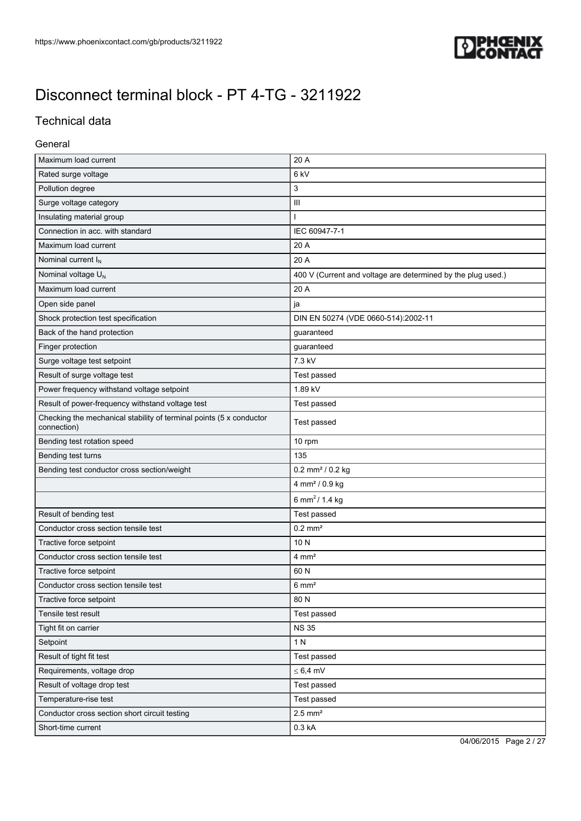

### Technical data

#### General

| Maximum load current                                                               | 20 A                                                         |  |
|------------------------------------------------------------------------------------|--------------------------------------------------------------|--|
| Rated surge voltage                                                                | 6 kV                                                         |  |
| Pollution degree                                                                   | 3                                                            |  |
| Surge voltage category                                                             | Ш                                                            |  |
| Insulating material group                                                          |                                                              |  |
| Connection in acc. with standard                                                   | IEC 60947-7-1                                                |  |
| Maximum load current                                                               | 20 A                                                         |  |
| Nominal current $I_N$                                                              | 20 A                                                         |  |
| Nominal voltage U <sub>N</sub>                                                     | 400 V (Current and voltage are determined by the plug used.) |  |
| Maximum load current                                                               | 20 A                                                         |  |
| Open side panel                                                                    | ja                                                           |  |
| Shock protection test specification                                                | DIN EN 50274 (VDE 0660-514):2002-11                          |  |
| Back of the hand protection                                                        | guaranteed                                                   |  |
| Finger protection                                                                  | guaranteed                                                   |  |
| Surge voltage test setpoint                                                        | 7.3 kV                                                       |  |
| Result of surge voltage test                                                       | Test passed                                                  |  |
| Power frequency withstand voltage setpoint                                         | 1.89 kV                                                      |  |
| Result of power-frequency withstand voltage test                                   | Test passed                                                  |  |
| Checking the mechanical stability of terminal points (5 x conductor<br>connection) | Test passed                                                  |  |
| Bending test rotation speed                                                        | 10 rpm                                                       |  |
| Bending test turns                                                                 | 135                                                          |  |
| Bending test conductor cross section/weight                                        | $0.2$ mm <sup>2</sup> / $0.2$ kg                             |  |
|                                                                                    | 4 mm <sup>2</sup> / 0.9 kg                                   |  |
|                                                                                    | 6 mm <sup>2</sup> / 1.4 kg                                   |  |
| Result of bending test                                                             | Test passed                                                  |  |
| Conductor cross section tensile test                                               | $0.2$ mm <sup>2</sup>                                        |  |
| Tractive force setpoint                                                            | 10N                                                          |  |
| Conductor cross section tensile test                                               | $4 \text{ mm}^2$                                             |  |
| Tractive force setpoint                                                            | 60 N                                                         |  |
| Conductor cross section tensile test                                               | $6 \text{ mm}^2$                                             |  |
| Tractive force setpoint                                                            | 80N                                                          |  |
| Tensile test result                                                                | Test passed                                                  |  |
| Tight fit on carrier                                                               | <b>NS 35</b>                                                 |  |
| Setpoint                                                                           | 1 N                                                          |  |
| Result of tight fit test                                                           | Test passed                                                  |  |
| Requirements, voltage drop                                                         | $\leq 6.4$ mV                                                |  |
| Result of voltage drop test                                                        | Test passed                                                  |  |
| Temperature-rise test                                                              | Test passed                                                  |  |
| Conductor cross section short circuit testing                                      | $2.5$ mm <sup>2</sup>                                        |  |
| Short-time current                                                                 | 0.3 kA                                                       |  |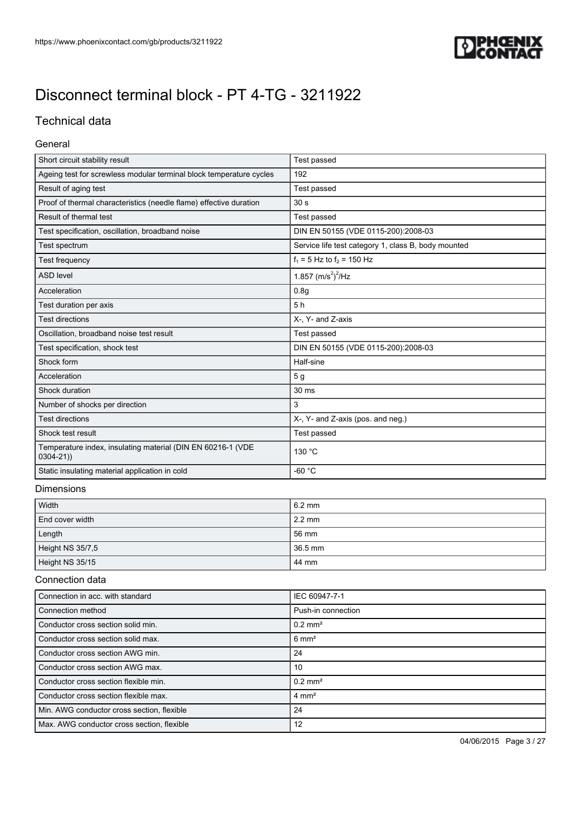

### Technical data

### General

| Short circuit stability result                                              | <b>Test passed</b>                                  |
|-----------------------------------------------------------------------------|-----------------------------------------------------|
| Ageing test for screwless modular terminal block temperature cycles         | 192                                                 |
| Result of aging test                                                        | Test passed                                         |
| Proof of thermal characteristics (needle flame) effective duration          | 30 <sub>s</sub>                                     |
| Result of thermal test                                                      | Test passed                                         |
| Test specification, oscillation, broadband noise                            | DIN EN 50155 (VDE 0115-200):2008-03                 |
| Test spectrum                                                               | Service life test category 1, class B, body mounted |
| <b>Test frequency</b>                                                       | $f_1 = 5$ Hz to $f_2 = 150$ Hz                      |
| <b>ASD level</b>                                                            | 1.857 $(m/s^2)^2$ /Hz                               |
| Acceleration                                                                | 0.8q                                                |
| Test duration per axis                                                      | 5h                                                  |
| <b>Test directions</b>                                                      | X-, Y- and Z-axis                                   |
| Oscillation, broadband noise test result                                    | Test passed                                         |
| Test specification, shock test                                              | DIN EN 50155 (VDE 0115-200):2008-03                 |
| Shock form                                                                  | Half-sine                                           |
| Acceleration                                                                | 5 <sub>g</sub>                                      |
| Shock duration                                                              | 30 ms                                               |
| Number of shocks per direction                                              | 3                                                   |
| <b>Test directions</b>                                                      | X-, Y- and Z-axis (pos. and neg.)                   |
| Shock test result                                                           | Test passed                                         |
| Temperature index, insulating material (DIN EN 60216-1 (VDE<br>$0304 - 21)$ | 130 °C                                              |
| Static insulating material application in cold                              | $-60 °C$                                            |
|                                                                             |                                                     |

#### Dimensions

| Width            | $6.2 \text{ mm}$ |
|------------------|------------------|
| End cover width  | $2.2 \text{ mm}$ |
| Length           | 56 mm            |
| Height NS 35/7,5 | 36.5 mm          |
| Height NS 35/15  | 44 mm            |

#### Connection data

| Connection in acc. with standard           | IEC 60947-7-1      |
|--------------------------------------------|--------------------|
| Connection method                          | Push-in connection |
| Conductor cross section solid min.         | $0.2 \text{ mm}^2$ |
| Conductor cross section solid max.         | $6 \text{ mm}^2$   |
| Conductor cross section AWG min.           | 24                 |
| Conductor cross section AWG max.           | 10                 |
| Conductor cross section flexible min.      | $0.2 \text{ mm}^2$ |
| Conductor cross section flexible max.      | $4 \text{ mm}^2$   |
| Min. AWG conductor cross section, flexible | 24                 |
| Max. AWG conductor cross section, flexible | 12                 |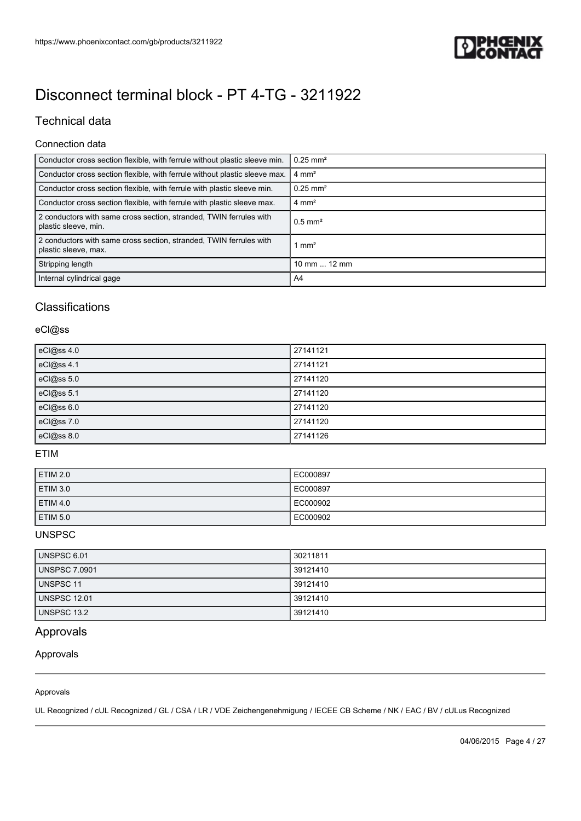

### Technical data

### Connection data

| Conductor cross section flexible, with ferrule without plastic sleeve min.                 | $0.25$ mm <sup>2</sup> |
|--------------------------------------------------------------------------------------------|------------------------|
| Conductor cross section flexible, with ferrule without plastic sleeve max.                 | $4 \text{ mm}^2$       |
| Conductor cross section flexible, with ferrule with plastic sleeve min.                    | $0.25$ mm <sup>2</sup> |
| Conductor cross section flexible, with ferrule with plastic sleeve max.                    | $4 \text{ mm}^2$       |
| 2 conductors with same cross section, stranded, TWIN ferrules with<br>plastic sleeve, min. | $0.5$ mm <sup>2</sup>  |
| 2 conductors with same cross section, stranded, TWIN ferrules with<br>plastic sleeve, max. | $1 \text{ mm}^2$       |
| Stripping length                                                                           | 10 mm $\dots$ 12 mm    |
| Internal cylindrical gage                                                                  | A4                     |

### Classifications

### eCl@ss

| eCl@ss 4.0 | 27141121 |
|------------|----------|
| eCl@ss 4.1 | 27141121 |
| eCl@ss 5.0 | 27141120 |
| eCl@ss 5.1 | 27141120 |
| eCl@ss 6.0 | 27141120 |
| eCl@ss 7.0 | 27141120 |
| eCl@ss 8.0 | 27141126 |

### ETIM

| <b>ETIM 2.0</b>     | EC000897 |
|---------------------|----------|
| <b>ETIM 3.0</b>     | EC000897 |
| ETIM 4.0            | EC000902 |
| ETIM <sub>5.0</sub> | EC000902 |

#### UNSPSC

| UNSPSC 6.01          | 30211811 |
|----------------------|----------|
| <b>UNSPSC 7.0901</b> | 39121410 |
| <b>UNSPSC 11</b>     | 39121410 |
| <b>UNSPSC 12.01</b>  | 39121410 |
| UNSPSC 13.2          | 39121410 |

### Approvals

Approvals

#### Approvals

UL Recognized / cUL Recognized / GL / CSA / LR / VDE Zeichengenehmigung / IECEE CB Scheme / NK / EAC / BV / cULus Recognized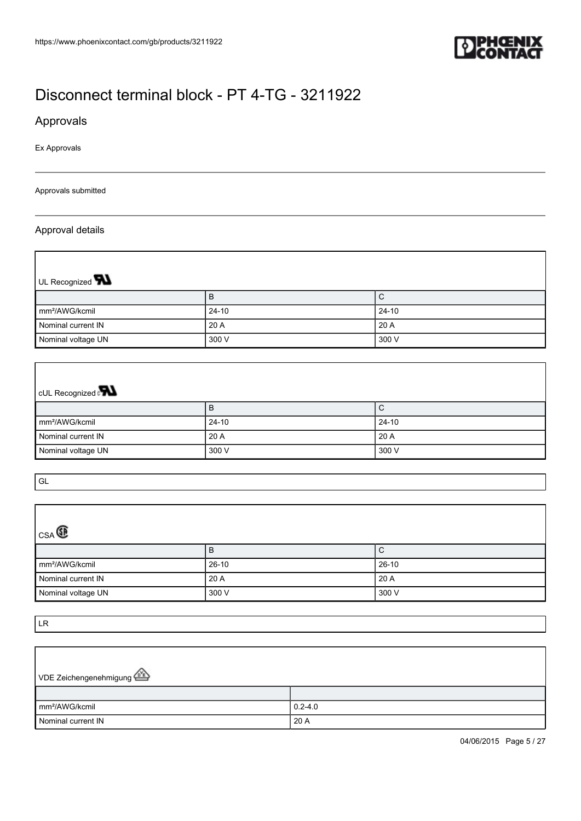

### Approvals

Ex Approvals

#### Approvals submitted

#### Approval details

 $\overline{1}$ 

| UL Recognized <b>W</b>     |           |         |
|----------------------------|-----------|---------|
|                            | B         | ◡       |
| mm <sup>2</sup> /AWG/kcmil | $24 - 10$ | $24-10$ |
| Nominal current IN         | 20 A      | 20 A    |
| Nominal voltage UN         | 300 V     | 300 V   |

# cUL Recognized **PN**

|                            | D       | ◡               |
|----------------------------|---------|-----------------|
| Im <sup>2</sup> /AWG/kcmil | $24-10$ | $24-10$         |
| Nominal current IN         | 20A     | $^{\circ}$ 20 A |
| Nominal voltage UN         | 300 V   | 300 V           |

GL

 $\Gamma$ 

| $_{CSA}$                   |         |         |  |  |
|----------------------------|---------|---------|--|--|
|                            | B       | С       |  |  |
| mm <sup>2</sup> /AWG/kcmil | $26-10$ | $26-10$ |  |  |
| Nominal current IN         | 20A     | 20 A    |  |  |
| Nominal voltage UN         | 300 V   | 300 V   |  |  |

LR

r

| VDE Zeichengenehmigung     |             |
|----------------------------|-------------|
|                            |             |
| mm <sup>2</sup> /AWG/kcmil | $0.2 - 4.0$ |
| Nominal current IN         | 20 A        |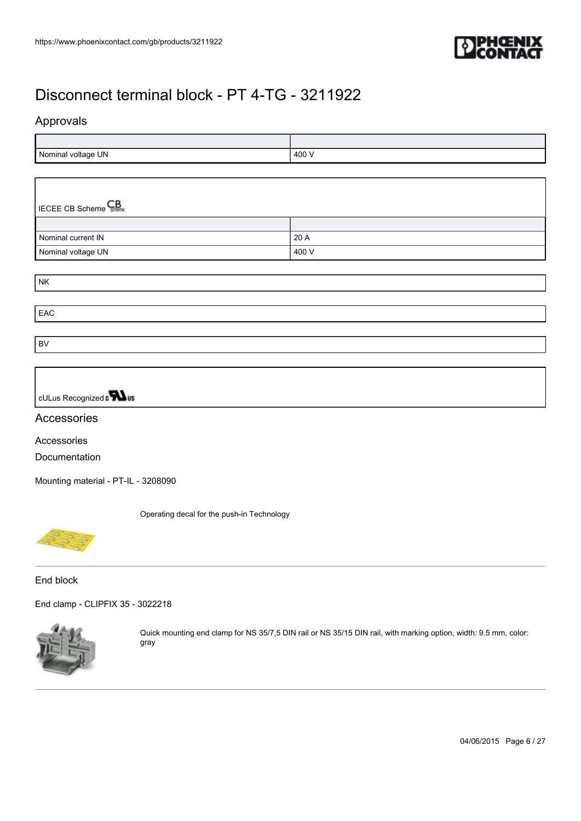

### Approvals

| Nominal voltage UN | 400 $\sqrt{ }$ |
|--------------------|----------------|

| <b>ECEE CB Scheme</b> |       |  |
|-----------------------|-------|--|
|                       |       |  |
| Nominal current IN    | 20 A  |  |
| Nominal voltage UN    | 400 V |  |

NK

EAC

BV

cULus Recognized a **Wus** 

#### Accessories

Accessories Documentation

[Mounting material - PT-IL - 3208090](https://www.phoenixcontact.com/gb/products/3208090)

Operating decal for the push-in Technology



End block

[End clamp - CLIPFIX 35 - 3022218](https://www.phoenixcontact.com/gb/products/3022218)



Quick mounting end clamp for NS 35/7,5 DIN rail or NS 35/15 DIN rail, with marking option, width: 9.5 mm, color: gray

04/06/2015 Page 6 / 27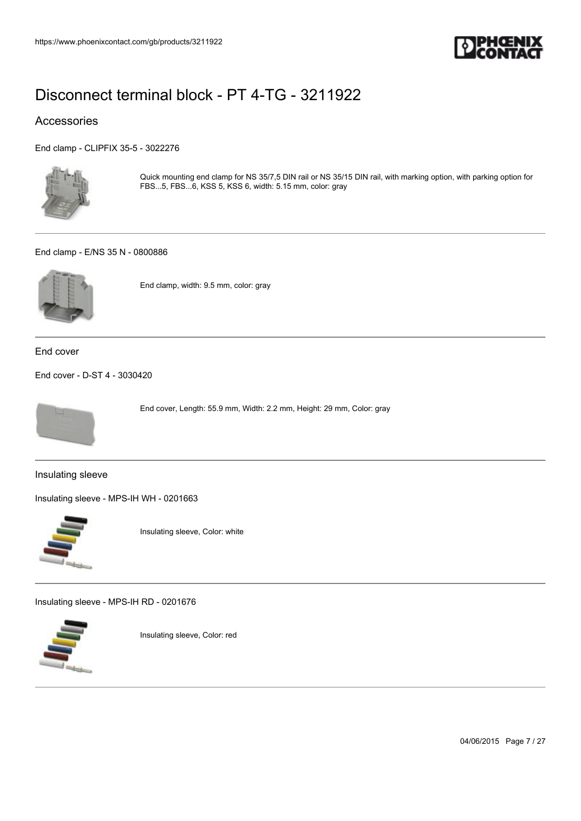

### Accessories

[End clamp - CLIPFIX 35-5 - 3022276](https://www.phoenixcontact.com/gb/products/3022276)



Quick mounting end clamp for NS 35/7,5 DIN rail or NS 35/15 DIN rail, with marking option, with parking option for FBS...5, FBS...6, KSS 5, KSS 6, width: 5.15 mm, color: gray

#### [End clamp - E/NS 35 N - 0800886](https://www.phoenixcontact.com/gb/products/0800886)



End clamp, width: 9.5 mm, color: gray

End cover

[End cover - D-ST 4 - 3030420](https://www.phoenixcontact.com/gb/products/3030420)



End cover, Length: 55.9 mm, Width: 2.2 mm, Height: 29 mm, Color: gray

Insulating sleeve

[Insulating sleeve - MPS-IH WH - 0201663](https://www.phoenixcontact.com/gb/products/0201663)



Insulating sleeve, Color: white

[Insulating sleeve - MPS-IH RD - 0201676](https://www.phoenixcontact.com/gb/products/0201676)



Insulating sleeve, Color: red

04/06/2015 Page 7 / 27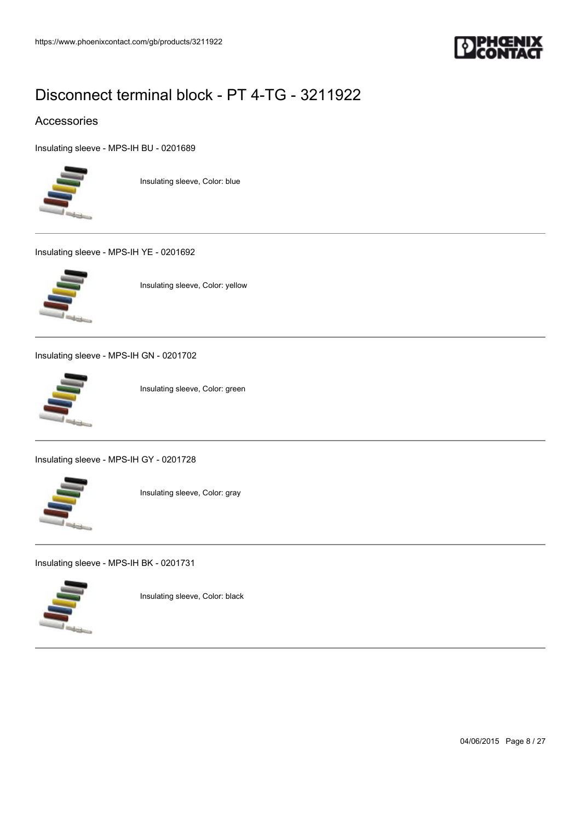

### Accessories

[Insulating sleeve - MPS-IH BU - 0201689](https://www.phoenixcontact.com/gb/products/0201689)



Insulating sleeve, Color: blue

[Insulating sleeve - MPS-IH YE - 0201692](https://www.phoenixcontact.com/gb/products/0201692)



Insulating sleeve, Color: yellow

[Insulating sleeve - MPS-IH GN - 0201702](https://www.phoenixcontact.com/gb/products/0201702)



Insulating sleeve, Color: green

[Insulating sleeve - MPS-IH GY - 0201728](https://www.phoenixcontact.com/gb/products/0201728)



Insulating sleeve, Color: gray

[Insulating sleeve - MPS-IH BK - 0201731](https://www.phoenixcontact.com/gb/products/0201731)



Insulating sleeve, Color: black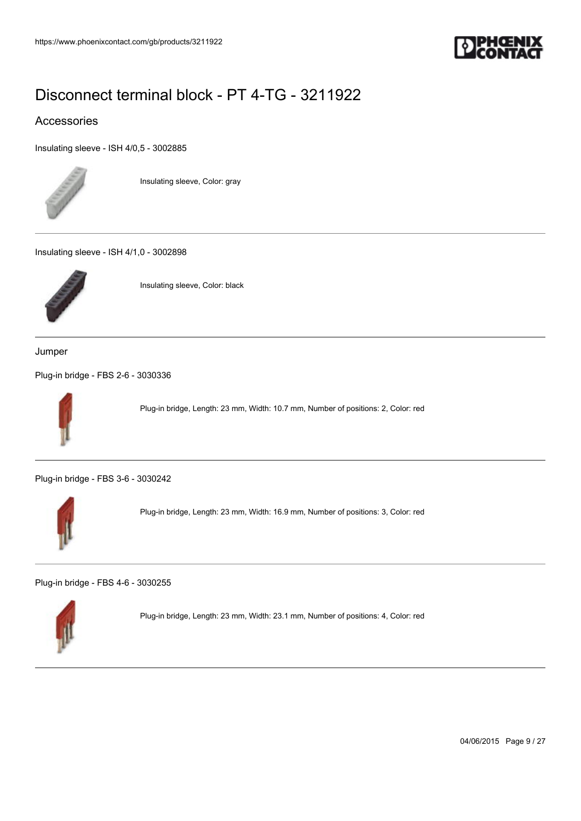

### Accessories

[Insulating sleeve - ISH 4/0,5 - 3002885](https://www.phoenixcontact.com/gb/products/3002885)



Insulating sleeve, Color: gray

[Insulating sleeve - ISH 4/1,0 - 3002898](https://www.phoenixcontact.com/gb/products/3002898)



Insulating sleeve, Color: black

Jumper

[Plug-in bridge - FBS 2-6 - 3030336](https://www.phoenixcontact.com/gb/products/3030336)



Plug-in bridge, Length: 23 mm, Width: 10.7 mm, Number of positions: 2, Color: red

[Plug-in bridge - FBS 3-6 - 3030242](https://www.phoenixcontact.com/gb/products/3030242)



Plug-in bridge, Length: 23 mm, Width: 16.9 mm, Number of positions: 3, Color: red

[Plug-in bridge - FBS 4-6 - 3030255](https://www.phoenixcontact.com/gb/products/3030255)



Plug-in bridge, Length: 23 mm, Width: 23.1 mm, Number of positions: 4, Color: red

04/06/2015 Page 9 / 27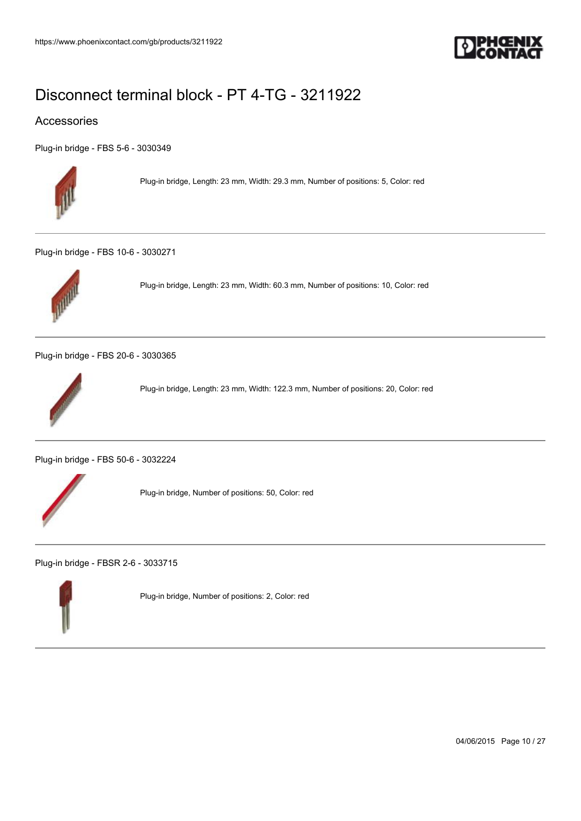

### Accessories

[Plug-in bridge - FBS 5-6 - 3030349](https://www.phoenixcontact.com/gb/products/3030349)



Plug-in bridge, Length: 23 mm, Width: 29.3 mm, Number of positions: 5, Color: red

[Plug-in bridge - FBS 10-6 - 3030271](https://www.phoenixcontact.com/gb/products/3030271)



Plug-in bridge, Length: 23 mm, Width: 60.3 mm, Number of positions: 10, Color: red

[Plug-in bridge - FBS 20-6 - 3030365](https://www.phoenixcontact.com/gb/products/3030365)



Plug-in bridge, Length: 23 mm, Width: 122.3 mm, Number of positions: 20, Color: red

[Plug-in bridge - FBS 50-6 - 3032224](https://www.phoenixcontact.com/gb/products/3032224)



Plug-in bridge, Number of positions: 50, Color: red

[Plug-in bridge - FBSR 2-6 - 3033715](https://www.phoenixcontact.com/gb/products/3033715)



Plug-in bridge, Number of positions: 2, Color: red

04/06/2015 Page 10 / 27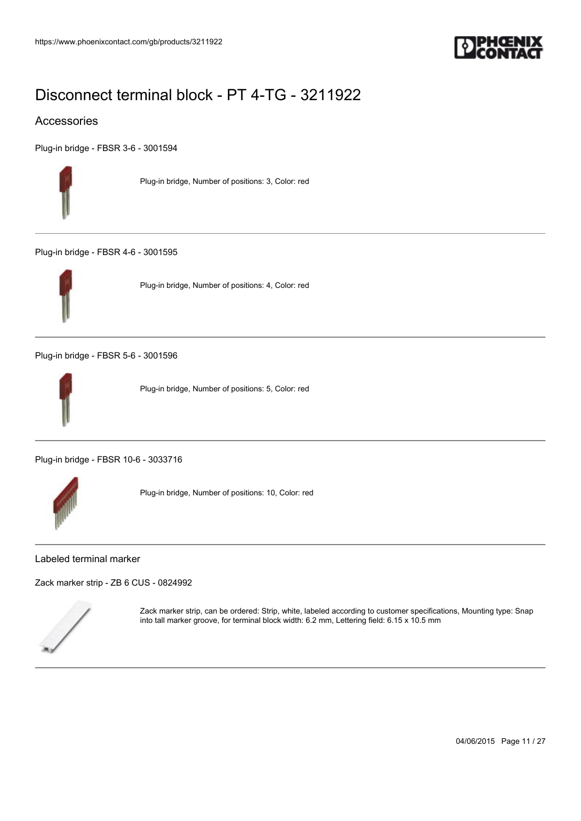

### Accessories

[Plug-in bridge - FBSR 3-6 - 3001594](https://www.phoenixcontact.com/gb/products/3001594)



Plug-in bridge, Number of positions: 3, Color: red

[Plug-in bridge - FBSR 4-6 - 3001595](https://www.phoenixcontact.com/gb/products/3001595)



Plug-in bridge, Number of positions: 4, Color: red

[Plug-in bridge - FBSR 5-6 - 3001596](https://www.phoenixcontact.com/gb/products/3001596)



Plug-in bridge, Number of positions: 5, Color: red

[Plug-in bridge - FBSR 10-6 - 3033716](https://www.phoenixcontact.com/gb/products/3033716)



Plug-in bridge, Number of positions: 10, Color: red

#### Labeled terminal marker

[Zack marker strip - ZB 6 CUS - 0824992](https://www.phoenixcontact.com/gb/products/0824992)



Zack marker strip, can be ordered: Strip, white, labeled according to customer specifications, Mounting type: Snap into tall marker groove, for terminal block width: 6.2 mm, Lettering field: 6.15 x 10.5 mm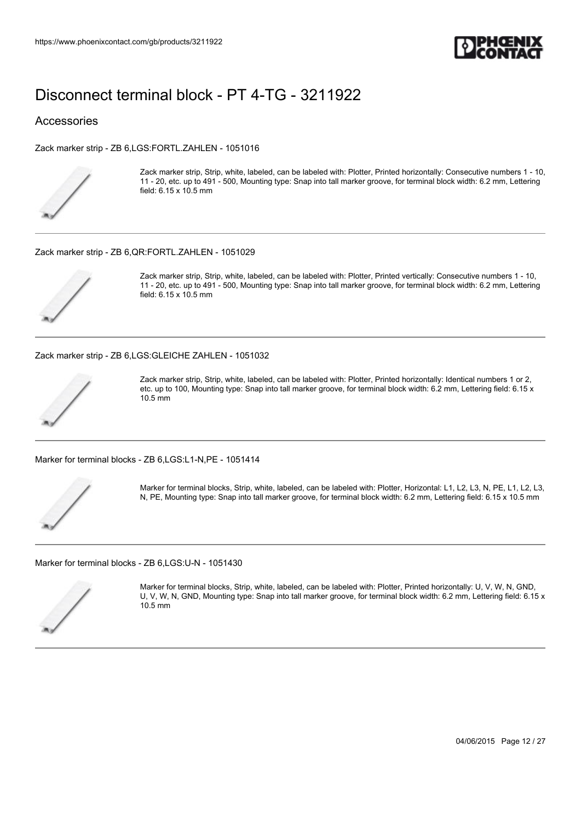

#### Accessories

[Zack marker strip - ZB 6,LGS:FORTL.ZAHLEN - 1051016](https://www.phoenixcontact.com/gb/products/1051016)



Zack marker strip, Strip, white, labeled, can be labeled with: Plotter, Printed horizontally: Consecutive numbers 1 - 10, 11 - 20, etc. up to 491 - 500, Mounting type: Snap into tall marker groove, for terminal block width: 6.2 mm, Lettering field: 6.15 x 10.5 mm

#### [Zack marker strip - ZB 6,QR:FORTL.ZAHLEN - 1051029](https://www.phoenixcontact.com/gb/products/1051029)



Zack marker strip, Strip, white, labeled, can be labeled with: Plotter, Printed vertically: Consecutive numbers 1 - 10, 11 - 20, etc. up to 491 - 500, Mounting type: Snap into tall marker groove, for terminal block width: 6.2 mm, Lettering field: 6.15 x 10.5 mm

[Zack marker strip - ZB 6,LGS:GLEICHE ZAHLEN - 1051032](https://www.phoenixcontact.com/gb/products/1051032)



Zack marker strip, Strip, white, labeled, can be labeled with: Plotter, Printed horizontally: Identical numbers 1 or 2, etc. up to 100, Mounting type: Snap into tall marker groove, for terminal block width: 6.2 mm, Lettering field: 6.15 x 10.5 mm

[Marker for terminal blocks - ZB 6,LGS:L1-N,PE - 1051414](https://www.phoenixcontact.com/gb/products/1051414)



Marker for terminal blocks, Strip, white, labeled, can be labeled with: Plotter, Horizontal: L1, L2, L3, N, PE, L1, L2, L3, N, PE, Mounting type: Snap into tall marker groove, for terminal block width: 6.2 mm, Lettering field: 6.15 x 10.5 mm

[Marker for terminal blocks - ZB 6,LGS:U-N - 1051430](https://www.phoenixcontact.com/gb/products/1051430)



Marker for terminal blocks, Strip, white, labeled, can be labeled with: Plotter, Printed horizontally: U, V, W, N, GND, U, V, W, N, GND, Mounting type: Snap into tall marker groove, for terminal block width: 6.2 mm, Lettering field: 6.15 x 10.5 mm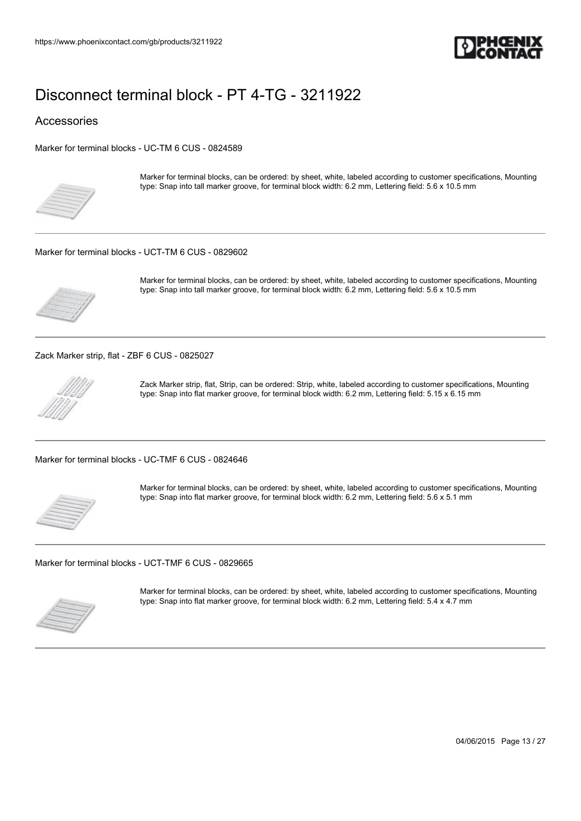

#### Accessories

[Marker for terminal blocks - UC-TM 6 CUS - 0824589](https://www.phoenixcontact.com/gb/products/0824589)



Marker for terminal blocks, can be ordered: by sheet, white, labeled according to customer specifications, Mounting type: Snap into tall marker groove, for terminal block width: 6.2 mm, Lettering field: 5.6 x 10.5 mm

#### [Marker for terminal blocks - UCT-TM 6 CUS - 0829602](https://www.phoenixcontact.com/gb/products/0829602)



Marker for terminal blocks, can be ordered: by sheet, white, labeled according to customer specifications, Mounting type: Snap into tall marker groove, for terminal block width: 6.2 mm, Lettering field: 5.6 x 10.5 mm

[Zack Marker strip, flat - ZBF 6 CUS - 0825027](https://www.phoenixcontact.com/gb/products/0825027)



Zack Marker strip, flat, Strip, can be ordered: Strip, white, labeled according to customer specifications, Mounting type: Snap into flat marker groove, for terminal block width: 6.2 mm, Lettering field: 5.15 x 6.15 mm

[Marker for terminal blocks - UC-TMF 6 CUS - 0824646](https://www.phoenixcontact.com/gb/products/0824646)



Marker for terminal blocks, can be ordered: by sheet, white, labeled according to customer specifications, Mounting type: Snap into flat marker groove, for terminal block width: 6.2 mm, Lettering field: 5.6 x 5.1 mm

[Marker for terminal blocks - UCT-TMF 6 CUS - 0829665](https://www.phoenixcontact.com/gb/products/0829665)



Marker for terminal blocks, can be ordered: by sheet, white, labeled according to customer specifications, Mounting type: Snap into flat marker groove, for terminal block width: 6.2 mm, Lettering field: 5.4 x 4.7 mm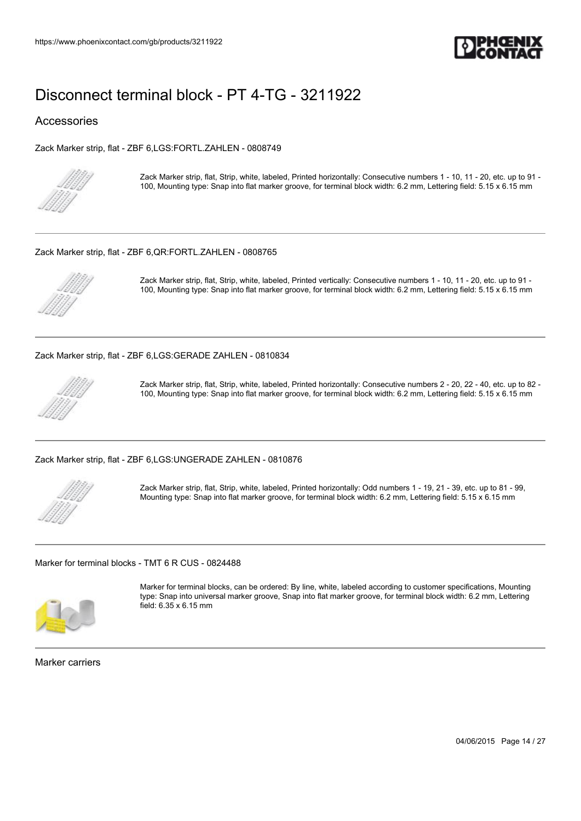

#### Accessories

[Zack Marker strip, flat - ZBF 6,LGS:FORTL.ZAHLEN - 0808749](https://www.phoenixcontact.com/gb/products/0808749)



Zack Marker strip, flat, Strip, white, labeled, Printed horizontally: Consecutive numbers 1 - 10, 11 - 20, etc. up to 91 - 100, Mounting type: Snap into flat marker groove, for terminal block width: 6.2 mm, Lettering field: 5.15 x 6.15 mm

#### [Zack Marker strip, flat - ZBF 6,QR:FORTL.ZAHLEN - 0808765](https://www.phoenixcontact.com/gb/products/0808765)



Zack Marker strip, flat, Strip, white, labeled, Printed vertically: Consecutive numbers 1 - 10, 11 - 20, etc. up to 91 - 100, Mounting type: Snap into flat marker groove, for terminal block width: 6.2 mm, Lettering field: 5.15 x 6.15 mm

[Zack Marker strip, flat - ZBF 6,LGS:GERADE ZAHLEN - 0810834](https://www.phoenixcontact.com/gb/products/0810834)



Zack Marker strip, flat, Strip, white, labeled, Printed horizontally: Consecutive numbers 2 - 20, 22 - 40, etc. up to 82 - 100, Mounting type: Snap into flat marker groove, for terminal block width: 6.2 mm, Lettering field: 5.15 x 6.15 mm

[Zack Marker strip, flat - ZBF 6,LGS:UNGERADE ZAHLEN - 0810876](https://www.phoenixcontact.com/gb/products/0810876)



Zack Marker strip, flat, Strip, white, labeled, Printed horizontally: Odd numbers 1 - 19, 21 - 39, etc. up to 81 - 99, Mounting type: Snap into flat marker groove, for terminal block width: 6.2 mm, Lettering field: 5.15 x 6.15 mm

[Marker for terminal blocks - TMT 6 R CUS - 0824488](https://www.phoenixcontact.com/gb/products/0824488)



Marker for terminal blocks, can be ordered: By line, white, labeled according to customer specifications, Mounting type: Snap into universal marker groove, Snap into flat marker groove, for terminal block width: 6.2 mm, Lettering field: 6.35 x 6.15 mm

Marker carriers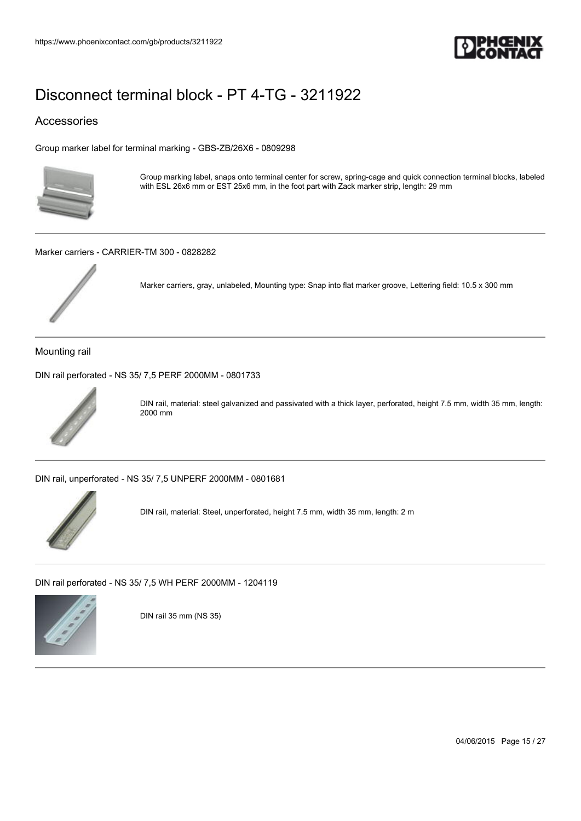

### Accessories

[Group marker label for terminal marking - GBS-ZB/26X6 - 0809298](https://www.phoenixcontact.com/gb/products/0809298)



Group marking label, snaps onto terminal center for screw, spring-cage and quick connection terminal blocks, labeled with ESL 26x6 mm or EST 25x6 mm, in the foot part with Zack marker strip, length: 29 mm

[Marker carriers - CARRIER-TM 300 - 0828282](https://www.phoenixcontact.com/gb/products/0828282)



Marker carriers, gray, unlabeled, Mounting type: Snap into flat marker groove, Lettering field: 10.5 x 300 mm

Mounting rail

[DIN rail perforated - NS 35/ 7,5 PERF 2000MM - 0801733](https://www.phoenixcontact.com/gb/products/0801733)



DIN rail, material: steel galvanized and passivated with a thick layer, perforated, height 7.5 mm, width 35 mm, length: 2000 mm

[DIN rail, unperforated - NS 35/ 7,5 UNPERF 2000MM - 0801681](https://www.phoenixcontact.com/gb/products/0801681)



DIN rail, material: Steel, unperforated, height 7.5 mm, width 35 mm, length: 2 m

[DIN rail perforated - NS 35/ 7,5 WH PERF 2000MM - 1204119](https://www.phoenixcontact.com/gb/products/1204119)



DIN rail 35 mm (NS 35)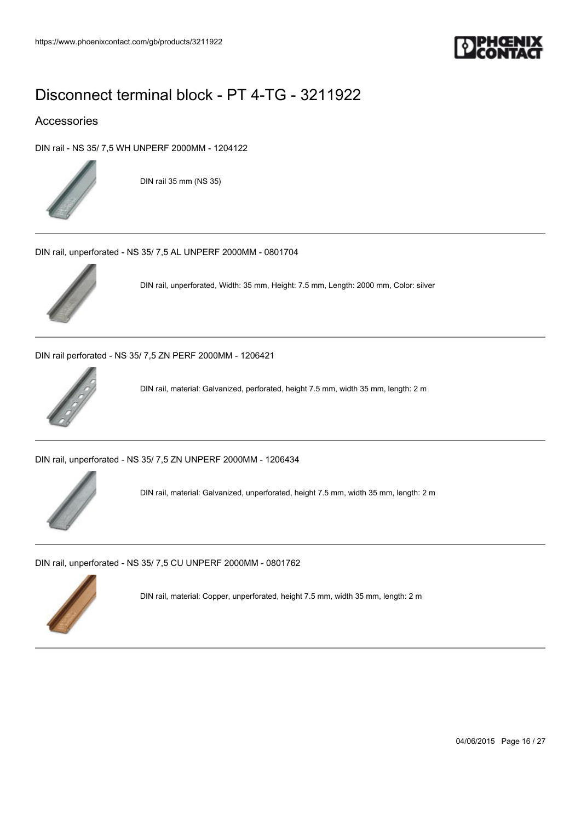

### Accessories

[DIN rail - NS 35/ 7,5 WH UNPERF 2000MM - 1204122](https://www.phoenixcontact.com/gb/products/1204122)



DIN rail 35 mm (NS 35)

[DIN rail, unperforated - NS 35/ 7,5 AL UNPERF 2000MM - 0801704](https://www.phoenixcontact.com/gb/products/0801704)



DIN rail, unperforated, Width: 35 mm, Height: 7.5 mm, Length: 2000 mm, Color: silver

[DIN rail perforated - NS 35/ 7,5 ZN PERF 2000MM - 1206421](https://www.phoenixcontact.com/gb/products/1206421)



DIN rail, material: Galvanized, perforated, height 7.5 mm, width 35 mm, length: 2 m

[DIN rail, unperforated - NS 35/ 7,5 ZN UNPERF 2000MM - 1206434](https://www.phoenixcontact.com/gb/products/1206434)



DIN rail, material: Galvanized, unperforated, height 7.5 mm, width 35 mm, length: 2 m

[DIN rail, unperforated - NS 35/ 7,5 CU UNPERF 2000MM - 0801762](https://www.phoenixcontact.com/gb/products/0801762)



DIN rail, material: Copper, unperforated, height 7.5 mm, width 35 mm, length: 2 m

04/06/2015 Page 16 / 27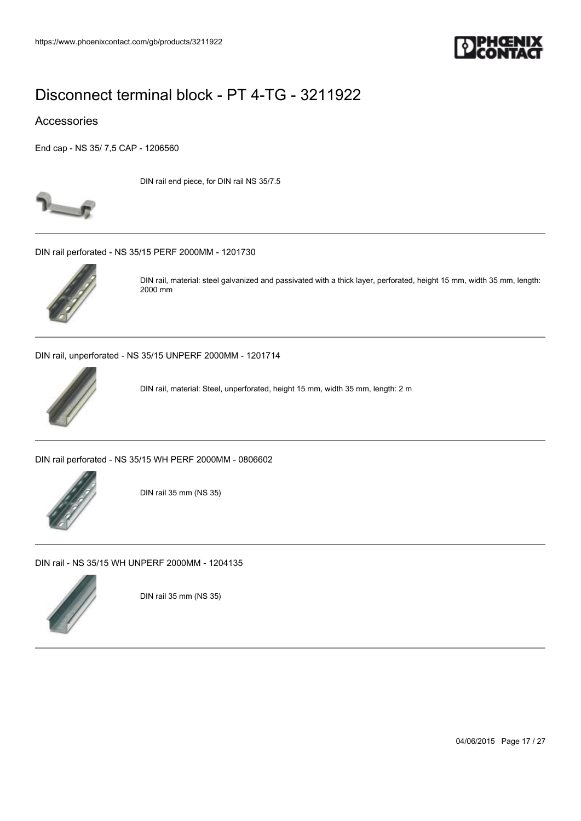

#### Accessories

[End cap - NS 35/ 7,5 CAP - 1206560](https://www.phoenixcontact.com/gb/products/1206560)



DIN rail end piece, for DIN rail NS 35/7.5

[DIN rail perforated - NS 35/15 PERF 2000MM - 1201730](https://www.phoenixcontact.com/gb/products/1201730)



DIN rail, material: steel galvanized and passivated with a thick layer, perforated, height 15 mm, width 35 mm, length: 2000 mm

[DIN rail, unperforated - NS 35/15 UNPERF 2000MM - 1201714](https://www.phoenixcontact.com/gb/products/1201714)



DIN rail, material: Steel, unperforated, height 15 mm, width 35 mm, length: 2 m

[DIN rail perforated - NS 35/15 WH PERF 2000MM - 0806602](https://www.phoenixcontact.com/gb/products/0806602)



DIN rail 35 mm (NS 35)

[DIN rail - NS 35/15 WH UNPERF 2000MM - 1204135](https://www.phoenixcontact.com/gb/products/1204135)



DIN rail 35 mm (NS 35)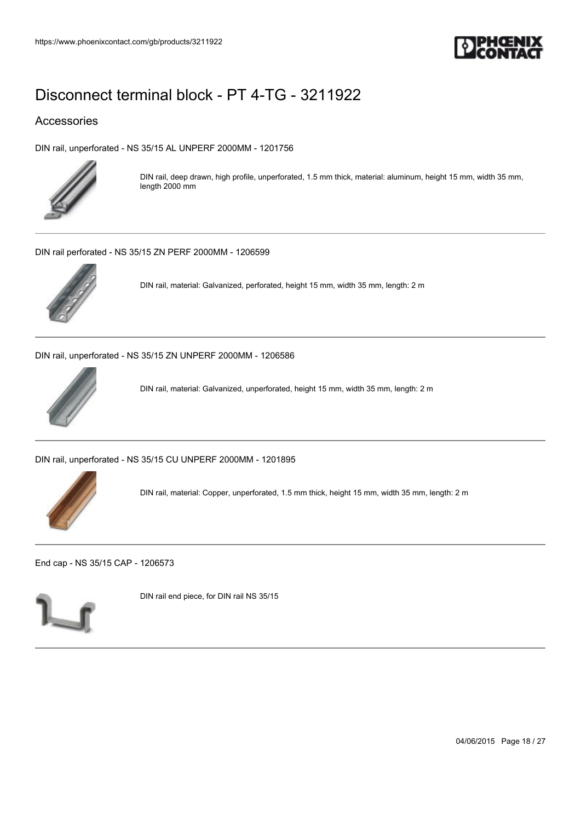

### Accessories

[DIN rail, unperforated - NS 35/15 AL UNPERF 2000MM - 1201756](https://www.phoenixcontact.com/gb/products/1201756)



DIN rail, deep drawn, high profile, unperforated, 1.5 mm thick, material: aluminum, height 15 mm, width 35 mm, length 2000 mm

[DIN rail perforated - NS 35/15 ZN PERF 2000MM - 1206599](https://www.phoenixcontact.com/gb/products/1206599)



DIN rail, material: Galvanized, perforated, height 15 mm, width 35 mm, length: 2 m

[DIN rail, unperforated - NS 35/15 ZN UNPERF 2000MM - 1206586](https://www.phoenixcontact.com/gb/products/1206586)



DIN rail, material: Galvanized, unperforated, height 15 mm, width 35 mm, length: 2 m

[DIN rail, unperforated - NS 35/15 CU UNPERF 2000MM - 1201895](https://www.phoenixcontact.com/gb/products/1201895)



DIN rail, material: Copper, unperforated, 1.5 mm thick, height 15 mm, width 35 mm, length: 2 m

[End cap - NS 35/15 CAP - 1206573](https://www.phoenixcontact.com/gb/products/1206573)



DIN rail end piece, for DIN rail NS 35/15

04/06/2015 Page 18 / 27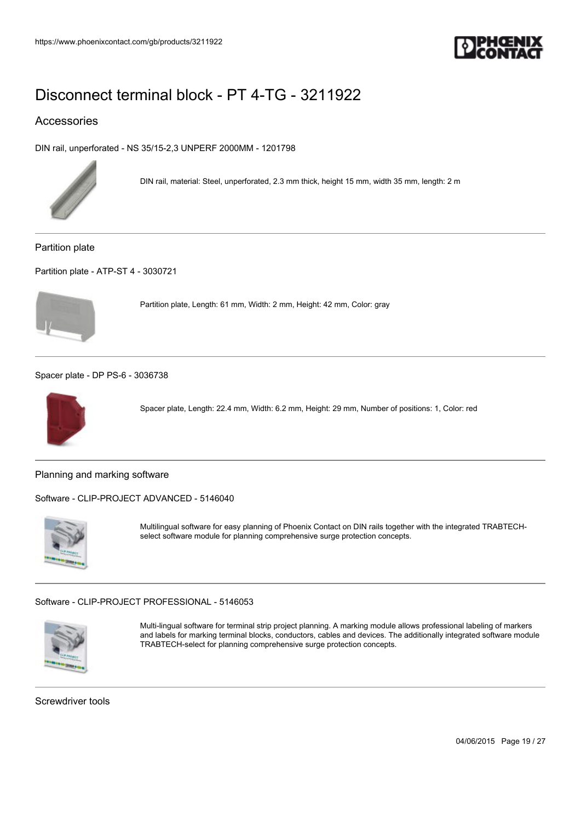

### Accessories

[DIN rail, unperforated - NS 35/15-2,3 UNPERF 2000MM - 1201798](https://www.phoenixcontact.com/gb/products/1201798)



DIN rail, material: Steel, unperforated, 2.3 mm thick, height 15 mm, width 35 mm, length: 2 m

Partition plate

[Partition plate - ATP-ST 4 - 3030721](https://www.phoenixcontact.com/gb/products/3030721)



Partition plate, Length: 61 mm, Width: 2 mm, Height: 42 mm, Color: gray

[Spacer plate - DP PS-6 - 3036738](https://www.phoenixcontact.com/gb/products/3036738)



Spacer plate, Length: 22.4 mm, Width: 6.2 mm, Height: 29 mm, Number of positions: 1, Color: red

Planning and marking software

[Software - CLIP-PROJECT ADVANCED - 5146040](https://www.phoenixcontact.com/gb/products/5146040)



Multilingual software for easy planning of Phoenix Contact on DIN rails together with the integrated TRABTECHselect software module for planning comprehensive surge protection concepts.

[Software - CLIP-PROJECT PROFESSIONAL - 5146053](https://www.phoenixcontact.com/gb/products/5146053)



Multi-lingual software for terminal strip project planning. A marking module allows professional labeling of markers and labels for marking terminal blocks, conductors, cables and devices. The additionally integrated software module TRABTECH-select for planning comprehensive surge protection concepts.

Screwdriver tools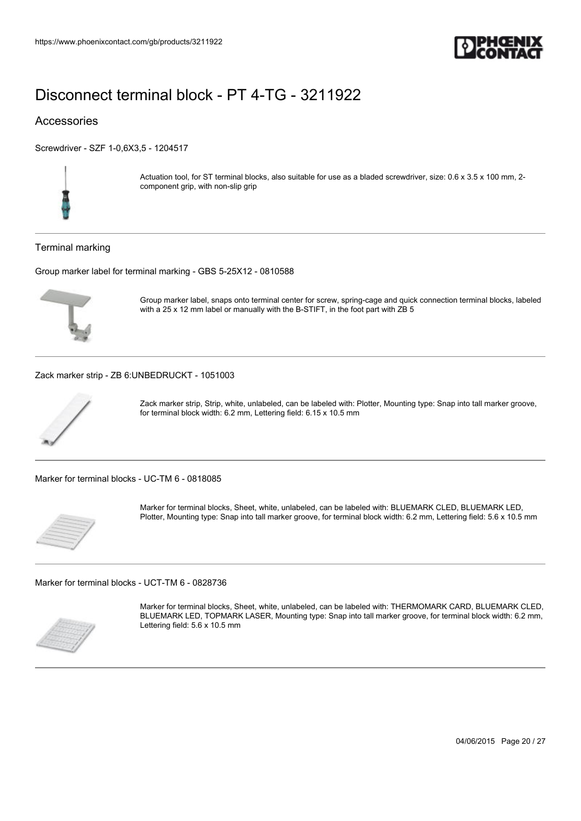

### Accessories

[Screwdriver - SZF 1-0,6X3,5 - 1204517](https://www.phoenixcontact.com/gb/products/1204517)



Actuation tool, for ST terminal blocks, also suitable for use as a bladed screwdriver, size: 0.6 x 3.5 x 100 mm, 2component grip, with non-slip grip

#### Terminal marking

[Group marker label for terminal marking - GBS 5-25X12 - 0810588](https://www.phoenixcontact.com/gb/products/0810588)



Group marker label, snaps onto terminal center for screw, spring-cage and quick connection terminal blocks, labeled with a 25 x 12 mm label or manually with the B-STIFT, in the foot part with ZB 5

#### [Zack marker strip - ZB 6:UNBEDRUCKT - 1051003](https://www.phoenixcontact.com/gb/products/1051003)



Zack marker strip, Strip, white, unlabeled, can be labeled with: Plotter, Mounting type: Snap into tall marker groove, for terminal block width: 6.2 mm, Lettering field: 6.15 x 10.5 mm

[Marker for terminal blocks - UC-TM 6 - 0818085](https://www.phoenixcontact.com/gb/products/0818085)



Marker for terminal blocks, Sheet, white, unlabeled, can be labeled with: BLUEMARK CLED, BLUEMARK LED, Plotter, Mounting type: Snap into tall marker groove, for terminal block width: 6.2 mm, Lettering field: 5.6 x 10.5 mm

[Marker for terminal blocks - UCT-TM 6 - 0828736](https://www.phoenixcontact.com/gb/products/0828736)



Marker for terminal blocks, Sheet, white, unlabeled, can be labeled with: THERMOMARK CARD, BLUEMARK CLED, BLUEMARK LED, TOPMARK LASER, Mounting type: Snap into tall marker groove, for terminal block width: 6.2 mm, Lettering field: 5.6 x 10.5 mm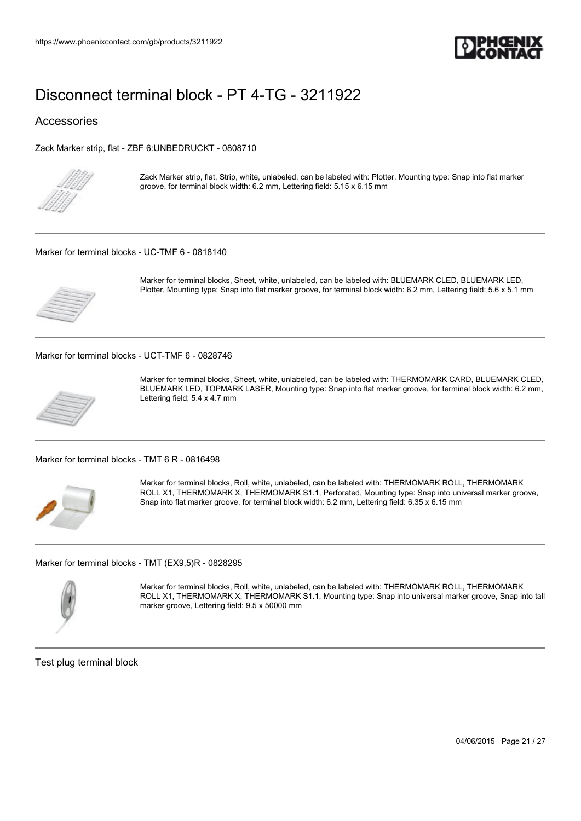

#### Accessories

[Zack Marker strip, flat - ZBF 6:UNBEDRUCKT - 0808710](https://www.phoenixcontact.com/gb/products/0808710)



Zack Marker strip, flat, Strip, white, unlabeled, can be labeled with: Plotter, Mounting type: Snap into flat marker groove, for terminal block width: 6.2 mm, Lettering field: 5.15 x 6.15 mm

#### [Marker for terminal blocks - UC-TMF 6 - 0818140](https://www.phoenixcontact.com/gb/products/0818140)



Marker for terminal blocks, Sheet, white, unlabeled, can be labeled with: BLUEMARK CLED, BLUEMARK LED, Plotter, Mounting type: Snap into flat marker groove, for terminal block width: 6.2 mm, Lettering field: 5.6 x 5.1 mm

[Marker for terminal blocks - UCT-TMF 6 - 0828746](https://www.phoenixcontact.com/gb/products/0828746)



Marker for terminal blocks, Sheet, white, unlabeled, can be labeled with: THERMOMARK CARD, BLUEMARK CLED, BLUEMARK LED, TOPMARK LASER, Mounting type: Snap into flat marker groove, for terminal block width: 6.2 mm, Lettering field: 5.4 x 4.7 mm

[Marker for terminal blocks - TMT 6 R - 0816498](https://www.phoenixcontact.com/gb/products/0816498)



Marker for terminal blocks, Roll, white, unlabeled, can be labeled with: THERMOMARK ROLL, THERMOMARK ROLL X1, THERMOMARK X, THERMOMARK S1.1, Perforated, Mounting type: Snap into universal marker groove, Snap into flat marker groove, for terminal block width: 6.2 mm, Lettering field: 6.35 x 6.15 mm

[Marker for terminal blocks - TMT \(EX9,5\)R - 0828295](https://www.phoenixcontact.com/gb/products/0828295)



Marker for terminal blocks, Roll, white, unlabeled, can be labeled with: THERMOMARK ROLL, THERMOMARK ROLL X1, THERMOMARK X, THERMOMARK S1.1, Mounting type: Snap into universal marker groove, Snap into tall marker groove, Lettering field: 9.5 x 50000 mm

Test plug terminal block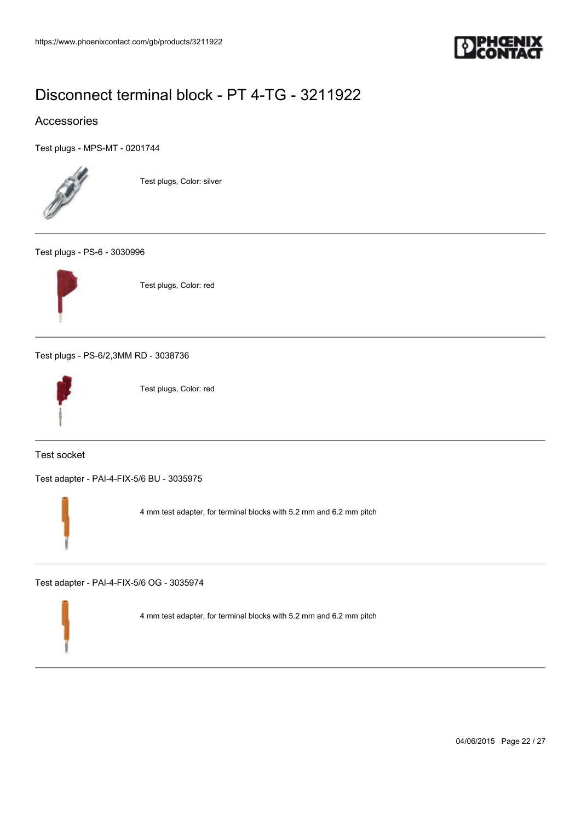

### Accessories

[Test plugs - MPS-MT - 0201744](https://www.phoenixcontact.com/gb/products/0201744)



Test plugs, Color: silver

#### [Test plugs - PS-6 - 3030996](https://www.phoenixcontact.com/gb/products/3030996)



Test plugs, Color: red

[Test plugs - PS-6/2,3MM RD - 3038736](https://www.phoenixcontact.com/gb/products/3038736)



Test plugs, Color: red

Test socket

[Test adapter - PAI-4-FIX-5/6 BU - 3035975](https://www.phoenixcontact.com/gb/products/3035975)



4 mm test adapter, for terminal blocks with 5.2 mm and 6.2 mm pitch

[Test adapter - PAI-4-FIX-5/6 OG - 3035974](https://www.phoenixcontact.com/gb/products/3035974)

4 mm test adapter, for terminal blocks with 5.2 mm and 6.2 mm pitch

04/06/2015 Page 22 / 27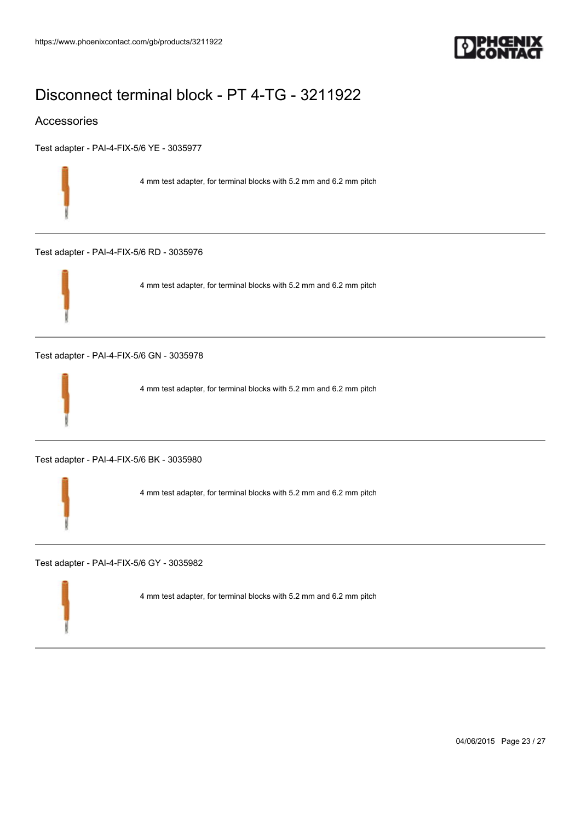

### Accessories

[Test adapter - PAI-4-FIX-5/6 YE - 3035977](https://www.phoenixcontact.com/gb/products/3035977)

4 mm test adapter, for terminal blocks with 5.2 mm and 6.2 mm pitch

[Test adapter - PAI-4-FIX-5/6 RD - 3035976](https://www.phoenixcontact.com/gb/products/3035976)



4 mm test adapter, for terminal blocks with 5.2 mm and 6.2 mm pitch

[Test adapter - PAI-4-FIX-5/6 GN - 3035978](https://www.phoenixcontact.com/gb/products/3035978)



4 mm test adapter, for terminal blocks with 5.2 mm and 6.2 mm pitch

[Test adapter - PAI-4-FIX-5/6 BK - 3035980](https://www.phoenixcontact.com/gb/products/3035980)

4 mm test adapter, for terminal blocks with 5.2 mm and 6.2 mm pitch

[Test adapter - PAI-4-FIX-5/6 GY - 3035982](https://www.phoenixcontact.com/gb/products/3035982)

4 mm test adapter, for terminal blocks with 5.2 mm and 6.2 mm pitch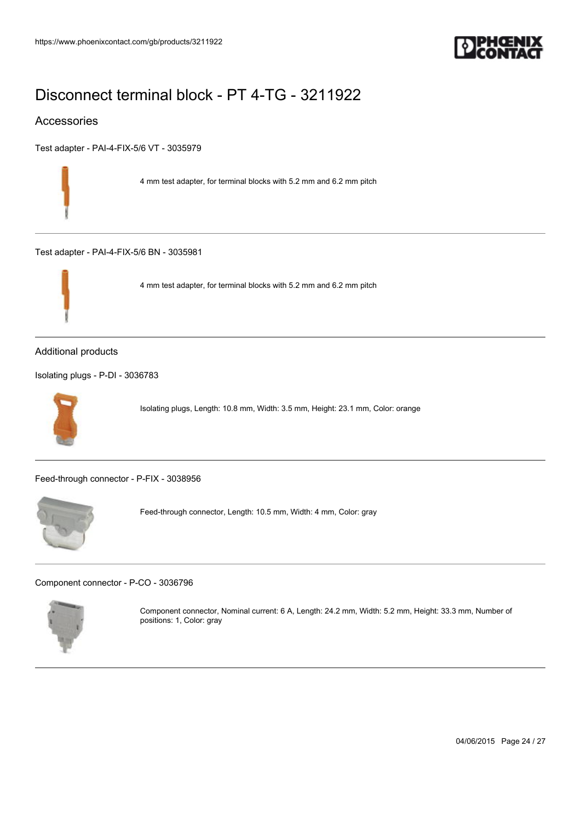

### Accessories

[Test adapter - PAI-4-FIX-5/6 VT - 3035979](https://www.phoenixcontact.com/gb/products/3035979)

4 mm test adapter, for terminal blocks with 5.2 mm and 6.2 mm pitch

[Test adapter - PAI-4-FIX-5/6 BN - 3035981](https://www.phoenixcontact.com/gb/products/3035981)



4 mm test adapter, for terminal blocks with 5.2 mm and 6.2 mm pitch

#### Additional products

[Isolating plugs - P-DI - 3036783](https://www.phoenixcontact.com/gb/products/3036783)



Isolating plugs, Length: 10.8 mm, Width: 3.5 mm, Height: 23.1 mm, Color: orange

[Feed-through connector - P-FIX - 3038956](https://www.phoenixcontact.com/gb/products/3038956)



Feed-through connector, Length: 10.5 mm, Width: 4 mm, Color: gray

[Component connector - P-CO - 3036796](https://www.phoenixcontact.com/gb/products/3036796)



Component connector, Nominal current: 6 A, Length: 24.2 mm, Width: 5.2 mm, Height: 33.3 mm, Number of positions: 1, Color: gray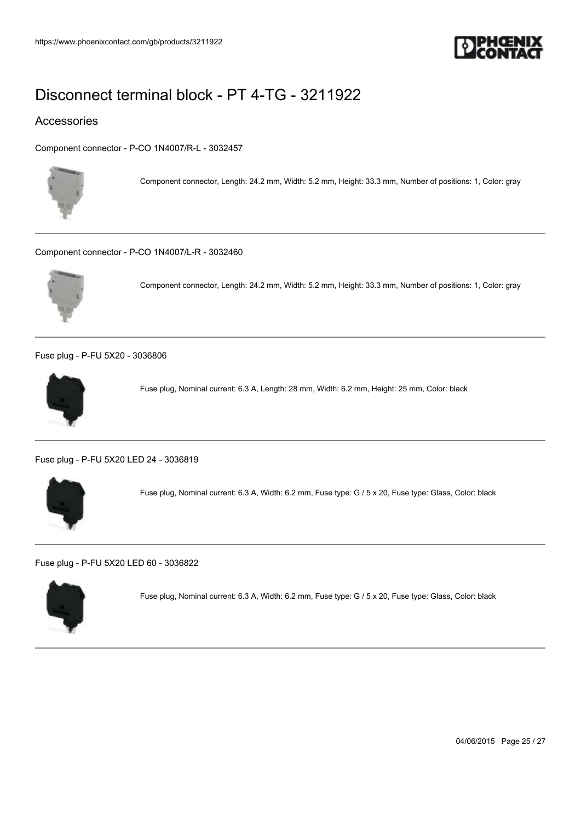

### Accessories

[Component connector - P-CO 1N4007/R-L - 3032457](https://www.phoenixcontact.com/gb/products/3032457)



Component connector, Length: 24.2 mm, Width: 5.2 mm, Height: 33.3 mm, Number of positions: 1, Color: gray

[Component connector - P-CO 1N4007/L-R - 3032460](https://www.phoenixcontact.com/gb/products/3032460)



Component connector, Length: 24.2 mm, Width: 5.2 mm, Height: 33.3 mm, Number of positions: 1, Color: gray

[Fuse plug - P-FU 5X20 - 3036806](https://www.phoenixcontact.com/gb/products/3036806)



Fuse plug, Nominal current: 6.3 A, Length: 28 mm, Width: 6.2 mm, Height: 25 mm, Color: black

[Fuse plug - P-FU 5X20 LED 24 - 3036819](https://www.phoenixcontact.com/gb/products/3036819)



Fuse plug, Nominal current: 6.3 A, Width: 6.2 mm, Fuse type: G / 5 x 20, Fuse type: Glass, Color: black

[Fuse plug - P-FU 5X20 LED 60 - 3036822](https://www.phoenixcontact.com/gb/products/3036822)



Fuse plug, Nominal current: 6.3 A, Width: 6.2 mm, Fuse type: G / 5 x 20, Fuse type: Glass, Color: black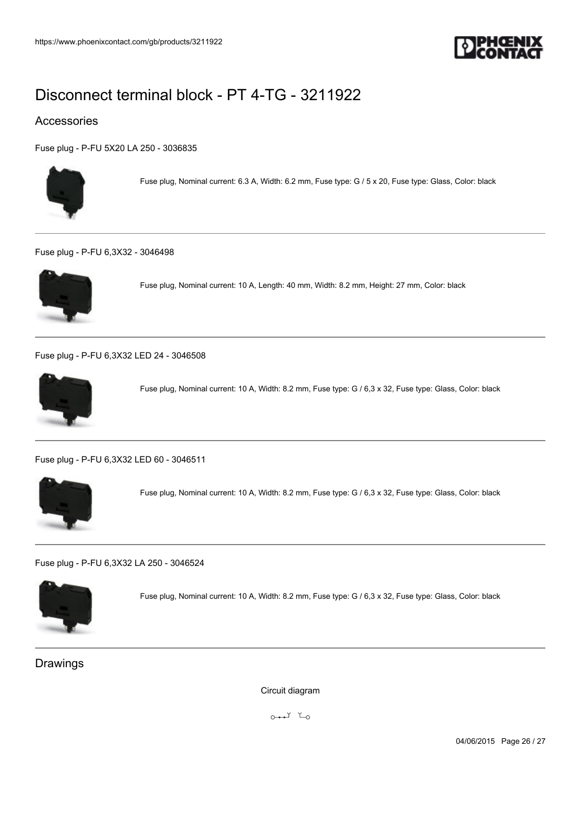

### Accessories

[Fuse plug - P-FU 5X20 LA 250 - 3036835](https://www.phoenixcontact.com/gb/products/3036835)



Fuse plug, Nominal current: 6.3 A, Width: 6.2 mm, Fuse type: G / 5 x 20, Fuse type: Glass, Color: black

#### [Fuse plug - P-FU 6,3X32 - 3046498](https://www.phoenixcontact.com/gb/products/3046498)



Fuse plug, Nominal current: 10 A, Length: 40 mm, Width: 8.2 mm, Height: 27 mm, Color: black

[Fuse plug - P-FU 6,3X32 LED 24 - 3046508](https://www.phoenixcontact.com/gb/products/3046508)



Fuse plug, Nominal current: 10 A, Width: 8.2 mm, Fuse type: G / 6,3 x 32, Fuse type: Glass, Color: black

[Fuse plug - P-FU 6,3X32 LED 60 - 3046511](https://www.phoenixcontact.com/gb/products/3046511)



Fuse plug, Nominal current: 10 A, Width: 8.2 mm, Fuse type: G / 6,3 x 32, Fuse type: Glass, Color: black

[Fuse plug - P-FU 6,3X32 LA 250 - 3046524](https://www.phoenixcontact.com/gb/products/3046524)



Fuse plug, Nominal current: 10 A, Width: 8.2 mm, Fuse type: G / 6,3 x 32, Fuse type: Glass, Color: black

### Drawings

Circuit diagram

 $0 \rightarrow 1$   $K_0$